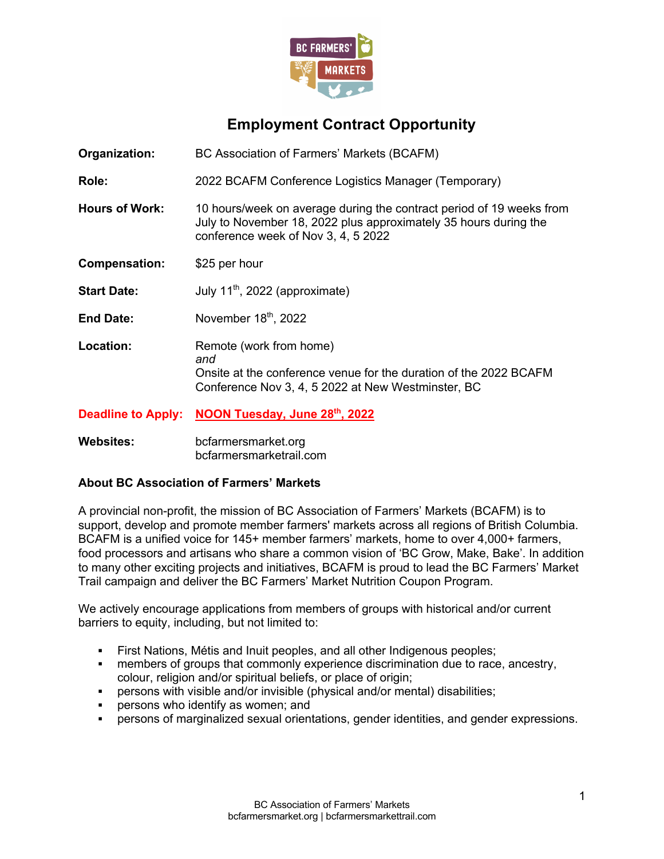

# **Employment Contract Opportunity**

| Organization: | BC Association of Farmers' Markets (BCAFM) |  |
|---------------|--------------------------------------------|--|
|               |                                            |  |

**Role:** 2022 BCAFM Conference Logistics Manager (Temporary)

**Hours of Work:** 10 hours/week on average during the contract period of 19 weeks from July to November 18, 2022 plus approximately 35 hours during the conference week of Nov 3, 4, 5 2022

**Compensation:** \$25 per hour

**Start Date:** July 11<sup>th</sup>, 2022 (approximate)

- End Date: November 18<sup>th</sup>, 2022
- **Location:** Remote (work from home) *and* Onsite at the conference venue for the duration of the 2022 BCAFM Conference Nov 3, 4, 5 2022 at New Westminster, BC

**Deadline to Apply: NOON Tuesday, June 28th, 2022**

**Websites:** bcfarmersmarket.org bcfarmersmarketrail.com

## **About BC Association of Farmers' Markets**

A provincial non-profit, the mission of BC Association of Farmers' Markets (BCAFM) is to support, develop and promote member farmers' markets across all regions of British Columbia. BCAFM is a unified voice for 145+ member farmers' markets, home to over 4,000+ farmers, food processors and artisans who share a common vision of 'BC Grow, Make, Bake'. In addition to many other exciting projects and initiatives, BCAFM is proud to lead the BC Farmers' Market Trail campaign and deliver the BC Farmers' Market Nutrition Coupon Program.

We actively encourage applications from members of groups with historical and/or current barriers to equity, including, but not limited to:

- First Nations, Métis and Inuit peoples, and all other Indigenous peoples;
- members of groups that commonly experience discrimination due to race, ancestry, colour, religion and/or spiritual beliefs, or place of origin;
- persons with visible and/or invisible (physical and/or mental) disabilities;
- persons who identify as women; and
- § persons of marginalized sexual orientations, gender identities, and gender expressions.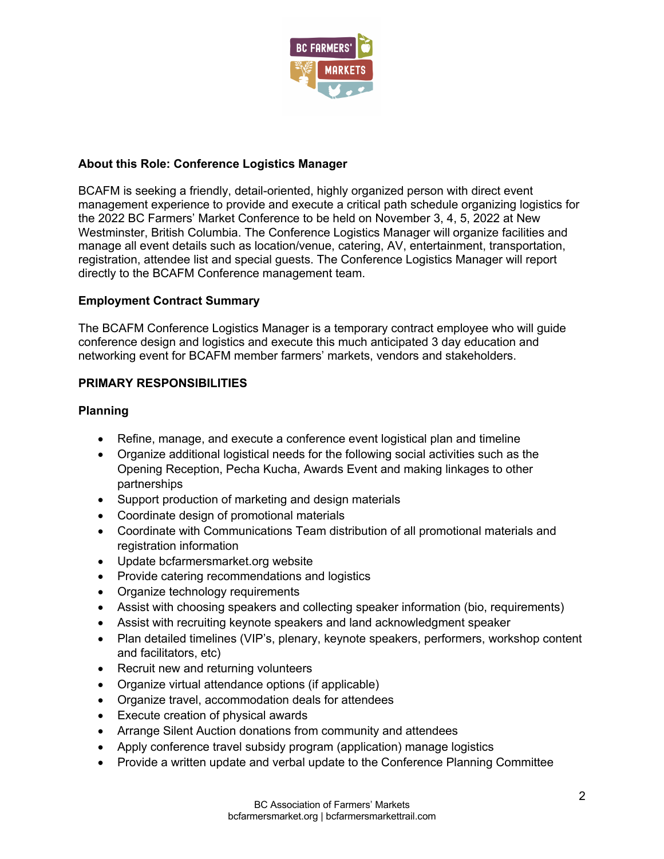

## **About this Role: Conference Logistics Manager**

BCAFM is seeking a friendly, detail-oriented, highly organized person with direct event management experience to provide and execute a critical path schedule organizing logistics for the 2022 BC Farmers' Market Conference to be held on November 3, 4, 5, 2022 at New Westminster, British Columbia. The Conference Logistics Manager will organize facilities and manage all event details such as location/venue, catering, AV, entertainment, transportation, registration, attendee list and special guests. The Conference Logistics Manager will report directly to the BCAFM Conference management team.

## **Employment Contract Summary**

The BCAFM Conference Logistics Manager is a temporary contract employee who will guide conference design and logistics and execute this much anticipated 3 day education and networking event for BCAFM member farmers' markets, vendors and stakeholders.

## **PRIMARY RESPONSIBILITIES**

## **Planning**

- Refine, manage, and execute a conference event logistical plan and timeline
- Organize additional logistical needs for the following social activities such as the Opening Reception, Pecha Kucha, Awards Event and making linkages to other partnerships
- Support production of marketing and design materials
- Coordinate design of promotional materials
- Coordinate with Communications Team distribution of all promotional materials and registration information
- Update bcfarmersmarket.org website
- Provide catering recommendations and logistics
- Organize technology requirements
- Assist with choosing speakers and collecting speaker information (bio, requirements)
- Assist with recruiting keynote speakers and land acknowledgment speaker
- Plan detailed timelines (VIP's, plenary, keynote speakers, performers, workshop content and facilitators, etc)
- Recruit new and returning volunteers
- Organize virtual attendance options (if applicable)
- Organize travel, accommodation deals for attendees
- Execute creation of physical awards
- Arrange Silent Auction donations from community and attendees
- Apply conference travel subsidy program (application) manage logistics
- Provide a written update and verbal update to the Conference Planning Committee